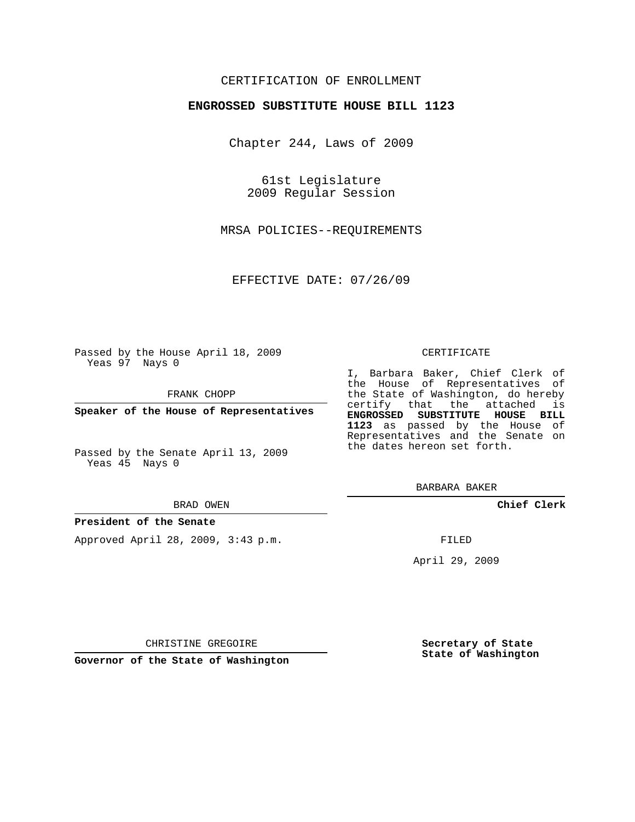## CERTIFICATION OF ENROLLMENT

## **ENGROSSED SUBSTITUTE HOUSE BILL 1123**

Chapter 244, Laws of 2009

61st Legislature 2009 Regular Session

MRSA POLICIES--REQUIREMENTS

EFFECTIVE DATE: 07/26/09

Passed by the House April 18, 2009 Yeas 97 Nays 0

FRANK CHOPP

**Speaker of the House of Representatives**

Passed by the Senate April 13, 2009 Yeas 45 Nays 0

#### BRAD OWEN

### **President of the Senate**

Approved April 28, 2009, 3:43 p.m.

#### CERTIFICATE

I, Barbara Baker, Chief Clerk of the House of Representatives of the State of Washington, do hereby certify that the attached is **ENGROSSED SUBSTITUTE HOUSE BILL 1123** as passed by the House of Representatives and the Senate on the dates hereon set forth.

BARBARA BAKER

**Chief Clerk**

FILED

April 29, 2009

CHRISTINE GREGOIRE

**Governor of the State of Washington**

**Secretary of State State of Washington**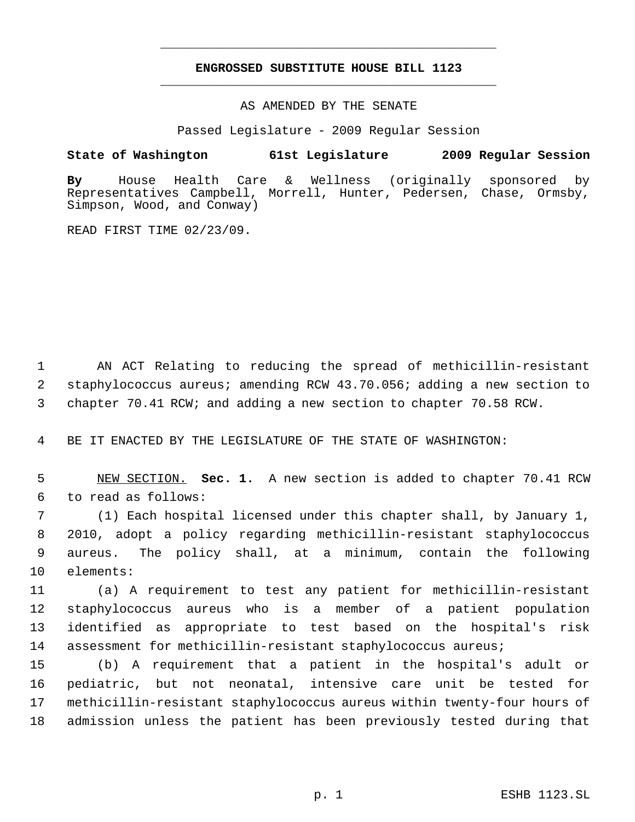# **ENGROSSED SUBSTITUTE HOUSE BILL 1123** \_\_\_\_\_\_\_\_\_\_\_\_\_\_\_\_\_\_\_\_\_\_\_\_\_\_\_\_\_\_\_\_\_\_\_\_\_\_\_\_\_\_\_\_\_

\_\_\_\_\_\_\_\_\_\_\_\_\_\_\_\_\_\_\_\_\_\_\_\_\_\_\_\_\_\_\_\_\_\_\_\_\_\_\_\_\_\_\_\_\_

AS AMENDED BY THE SENATE

Passed Legislature - 2009 Regular Session

# **State of Washington 61st Legislature 2009 Regular Session**

**By** House Health Care & Wellness (originally sponsored by Representatives Campbell, Morrell, Hunter, Pedersen, Chase, Ormsby, Simpson, Wood, and Conway)

READ FIRST TIME 02/23/09.

 AN ACT Relating to reducing the spread of methicillin-resistant staphylococcus aureus; amending RCW 43.70.056; adding a new section to chapter 70.41 RCW; and adding a new section to chapter 70.58 RCW.

BE IT ENACTED BY THE LEGISLATURE OF THE STATE OF WASHINGTON:

 NEW SECTION. **Sec. 1.** A new section is added to chapter 70.41 RCW to read as follows:

 (1) Each hospital licensed under this chapter shall, by January 1, 2010, adopt a policy regarding methicillin-resistant staphylococcus aureus. The policy shall, at a minimum, contain the following elements:

 (a) A requirement to test any patient for methicillin-resistant staphylococcus aureus who is a member of a patient population identified as appropriate to test based on the hospital's risk assessment for methicillin-resistant staphylococcus aureus;

 (b) A requirement that a patient in the hospital's adult or pediatric, but not neonatal, intensive care unit be tested for methicillin-resistant staphylococcus aureus within twenty-four hours of admission unless the patient has been previously tested during that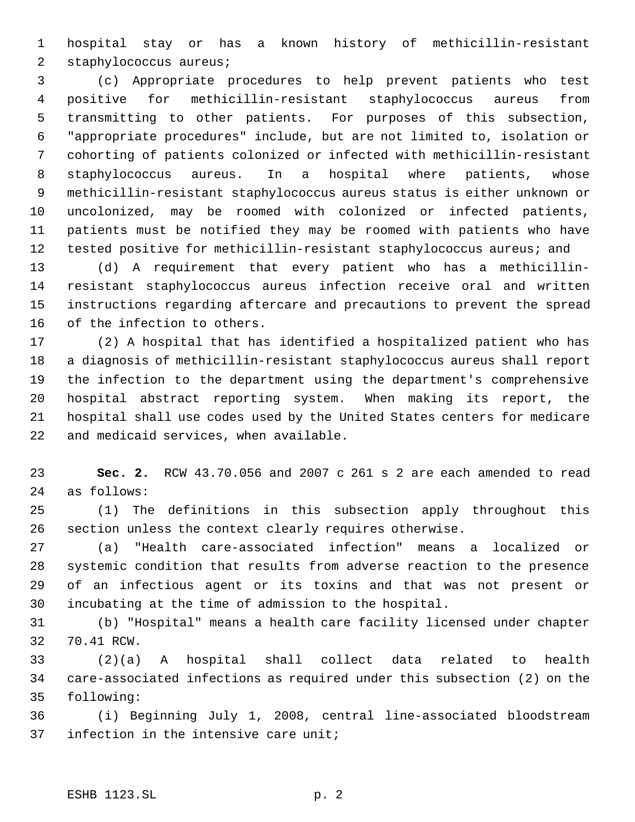hospital stay or has a known history of methicillin-resistant staphylococcus aureus;

 (c) Appropriate procedures to help prevent patients who test positive for methicillin-resistant staphylococcus aureus from transmitting to other patients. For purposes of this subsection, "appropriate procedures" include, but are not limited to, isolation or cohorting of patients colonized or infected with methicillin-resistant staphylococcus aureus. In a hospital where patients, whose methicillin-resistant staphylococcus aureus status is either unknown or uncolonized, may be roomed with colonized or infected patients, patients must be notified they may be roomed with patients who have tested positive for methicillin-resistant staphylococcus aureus; and

 (d) A requirement that every patient who has a methicillin- resistant staphylococcus aureus infection receive oral and written instructions regarding aftercare and precautions to prevent the spread of the infection to others.

 (2) A hospital that has identified a hospitalized patient who has a diagnosis of methicillin-resistant staphylococcus aureus shall report the infection to the department using the department's comprehensive hospital abstract reporting system. When making its report, the hospital shall use codes used by the United States centers for medicare and medicaid services, when available.

 **Sec. 2.** RCW 43.70.056 and 2007 c 261 s 2 are each amended to read as follows:

 (1) The definitions in this subsection apply throughout this section unless the context clearly requires otherwise.

 (a) "Health care-associated infection" means a localized or systemic condition that results from adverse reaction to the presence of an infectious agent or its toxins and that was not present or incubating at the time of admission to the hospital.

 (b) "Hospital" means a health care facility licensed under chapter 70.41 RCW.

 (2)(a) A hospital shall collect data related to health care-associated infections as required under this subsection (2) on the following:

 (i) Beginning July 1, 2008, central line-associated bloodstream infection in the intensive care unit;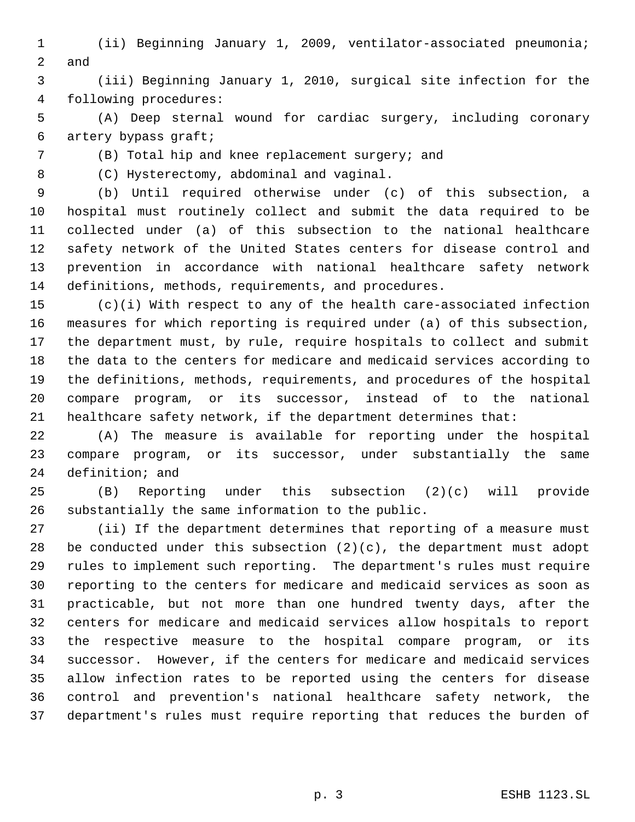(ii) Beginning January 1, 2009, ventilator-associated pneumonia; and

 (iii) Beginning January 1, 2010, surgical site infection for the following procedures:

 (A) Deep sternal wound for cardiac surgery, including coronary artery bypass graft;

(B) Total hip and knee replacement surgery; and

(C) Hysterectomy, abdominal and vaginal.

 (b) Until required otherwise under (c) of this subsection, a hospital must routinely collect and submit the data required to be collected under (a) of this subsection to the national healthcare safety network of the United States centers for disease control and prevention in accordance with national healthcare safety network definitions, methods, requirements, and procedures.

 (c)(i) With respect to any of the health care-associated infection measures for which reporting is required under (a) of this subsection, the department must, by rule, require hospitals to collect and submit the data to the centers for medicare and medicaid services according to the definitions, methods, requirements, and procedures of the hospital compare program, or its successor, instead of to the national healthcare safety network, if the department determines that:

 (A) The measure is available for reporting under the hospital compare program, or its successor, under substantially the same definition; and

 (B) Reporting under this subsection (2)(c) will provide substantially the same information to the public.

 (ii) If the department determines that reporting of a measure must 28 be conducted under this subsection  $(2)(c)$ , the department must adopt rules to implement such reporting. The department's rules must require reporting to the centers for medicare and medicaid services as soon as practicable, but not more than one hundred twenty days, after the centers for medicare and medicaid services allow hospitals to report the respective measure to the hospital compare program, or its successor. However, if the centers for medicare and medicaid services allow infection rates to be reported using the centers for disease control and prevention's national healthcare safety network, the department's rules must require reporting that reduces the burden of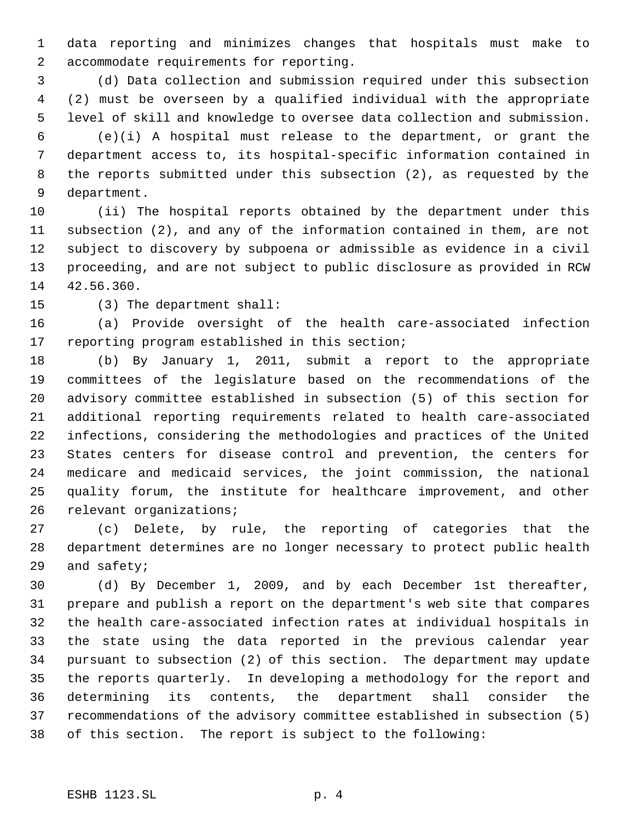data reporting and minimizes changes that hospitals must make to accommodate requirements for reporting.

 (d) Data collection and submission required under this subsection (2) must be overseen by a qualified individual with the appropriate level of skill and knowledge to oversee data collection and submission.

 (e)(i) A hospital must release to the department, or grant the department access to, its hospital-specific information contained in the reports submitted under this subsection (2), as requested by the department.

 (ii) The hospital reports obtained by the department under this subsection (2), and any of the information contained in them, are not subject to discovery by subpoena or admissible as evidence in a civil proceeding, and are not subject to public disclosure as provided in RCW 42.56.360.

(3) The department shall:

 (a) Provide oversight of the health care-associated infection reporting program established in this section;

 (b) By January 1, 2011, submit a report to the appropriate committees of the legislature based on the recommendations of the advisory committee established in subsection (5) of this section for additional reporting requirements related to health care-associated infections, considering the methodologies and practices of the United States centers for disease control and prevention, the centers for medicare and medicaid services, the joint commission, the national quality forum, the institute for healthcare improvement, and other relevant organizations;

 (c) Delete, by rule, the reporting of categories that the department determines are no longer necessary to protect public health and safety;

 (d) By December 1, 2009, and by each December 1st thereafter, prepare and publish a report on the department's web site that compares the health care-associated infection rates at individual hospitals in the state using the data reported in the previous calendar year pursuant to subsection (2) of this section. The department may update the reports quarterly. In developing a methodology for the report and determining its contents, the department shall consider the recommendations of the advisory committee established in subsection (5) of this section. The report is subject to the following: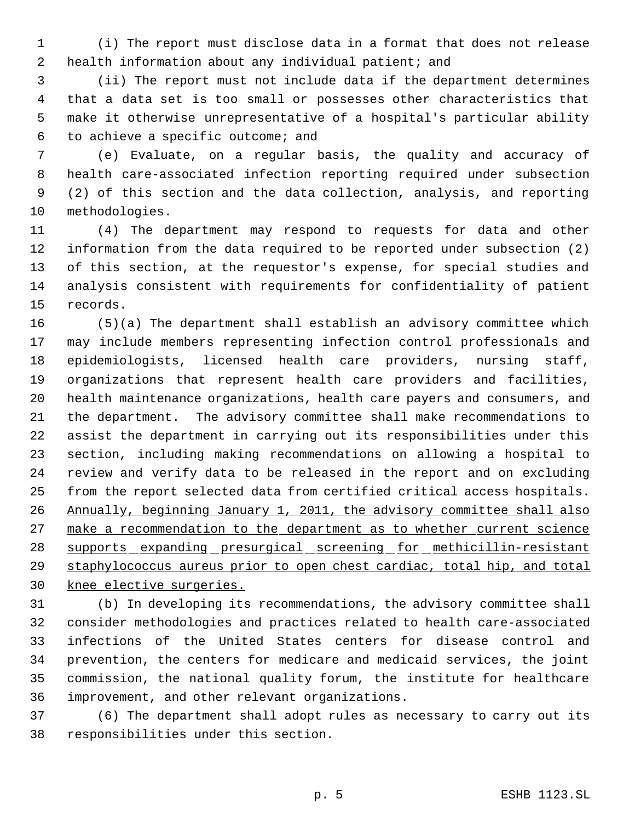(i) The report must disclose data in a format that does not release health information about any individual patient; and

 (ii) The report must not include data if the department determines that a data set is too small or possesses other characteristics that make it otherwise unrepresentative of a hospital's particular ability to achieve a specific outcome; and

 (e) Evaluate, on a regular basis, the quality and accuracy of health care-associated infection reporting required under subsection (2) of this section and the data collection, analysis, and reporting methodologies.

 (4) The department may respond to requests for data and other information from the data required to be reported under subsection (2) of this section, at the requestor's expense, for special studies and analysis consistent with requirements for confidentiality of patient records.

 (5)(a) The department shall establish an advisory committee which may include members representing infection control professionals and epidemiologists, licensed health care providers, nursing staff, organizations that represent health care providers and facilities, health maintenance organizations, health care payers and consumers, and the department. The advisory committee shall make recommendations to assist the department in carrying out its responsibilities under this section, including making recommendations on allowing a hospital to review and verify data to be released in the report and on excluding from the report selected data from certified critical access hospitals. Annually, beginning January 1, 2011, the advisory committee shall also 27 make a recommendation to the department as to whether current science 28 supports expanding presurgical screening for methicillin-resistant 29 staphylococcus aureus prior to open chest cardiac, total hip, and total knee elective surgeries.

 (b) In developing its recommendations, the advisory committee shall consider methodologies and practices related to health care-associated infections of the United States centers for disease control and prevention, the centers for medicare and medicaid services, the joint commission, the national quality forum, the institute for healthcare improvement, and other relevant organizations.

 (6) The department shall adopt rules as necessary to carry out its responsibilities under this section.